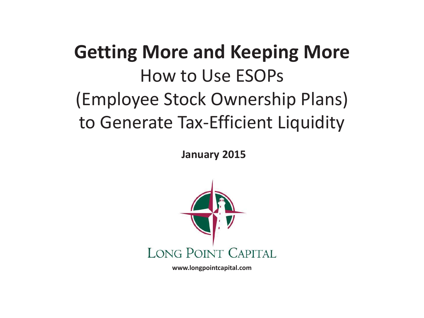# **Getting More and Keeping More**  How to Use ESOPs (Employee Stock Ownership Plans) to Generate Tax-Efficient Liquidity

**January 2015** 



**www.longpointcapital.com**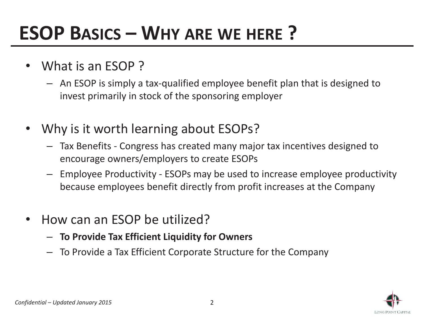# **ESOP BASICS – WHY ARE WE HERE ?**

- • What is an ESOP ?
	- An ESOP is simply a tax-qualified employee benefit plan that is designed to invest primarily in stock of the sponsoring employer
- • Why is it worth learning about ESOPs?
	- Tax Benefits Congress has created many major tax incentives designed to encourage owners/employers to create ESOPs
	- – Employee Productivity - ESOPs may be used to increase employee productivity because employees benefit directly from profit increases at the Company
- $\bullet$  How can an ESOP be utilized?
	- **To Provide Tax Efficient Liquidity for Owners**
	- To Provide a Tax Efficient Corporate Structure for the Company

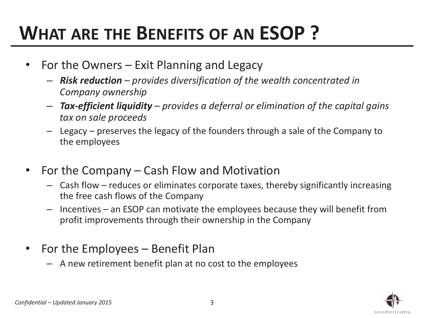# **WHAT ARE THE BENEFITS OF AN ESOP ?**

- • For the Owners – Exit Planning and Legacy
	- *Risk reduction – provides diversification of the wealth concentrated in Company ownership*
	- – *Tax-efficient liquidity – provides a deferral or elimination of the capital gains tax on sale proceeds*
	- – Legacy – preserves the legacy of the founders through a sale of the Company to the employees
- $\bullet$  For the Company – Cash Flow and Motivation
	- Cash flow reduces or eliminates corporate taxes, thereby significantly increasing the free cash flows of the Company
	- – Incentives – an ESOP can motivate the employees because they will benefit from profit improvements through their ownership in the Company
- • For the Employees – Benefit Plan
	- A new retirement benefit plan at no cost to the employees

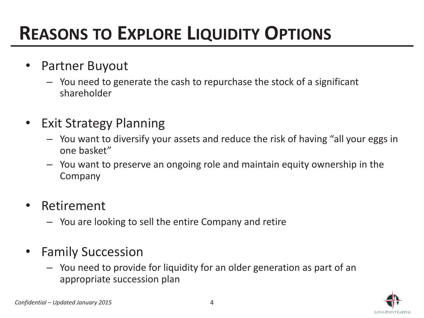## **REASONS TO EXPLORE LIQUIDITY OPTIONS**

- $\bullet$  Partner Buyout
	- You need to generate the cash to repurchase the stock of a significant shareholder
- $\bullet$  Exit Strategy Planning
	- You want to diversify your assets and reduce the risk of having "all your eggs in one basket"
	- You want to preserve an ongoing role and maintain equity ownership in the Company
- $\bullet$  Retirement
	- You are looking to sell the entire Company and retire
- • Family Succession
	- You need to provide for liquidity for an older generation as part of an appropriate succession plan

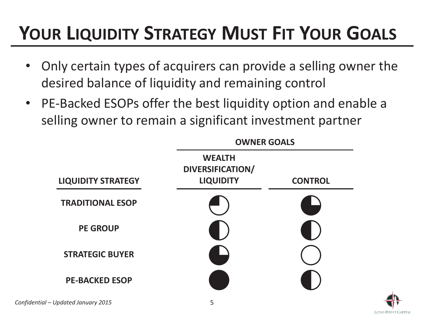# **YOUR LIQUIDITY STRATEGY MUST FIT YOUR GOALS**

- • Only certain types of acquirers can provide a selling owner the desired balance of liquidity and remaining control
- PE-Backed ESOPs offer the best liquidity option and enable a selling owner to remain a significant investment partner



LONG POINT CAPITAL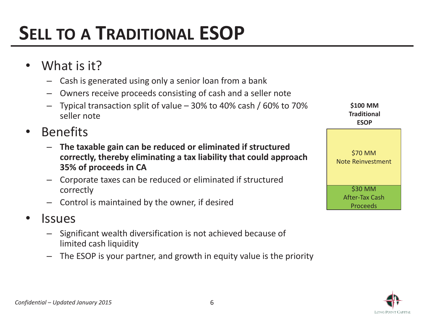- • What is it?
	- Cash is generated using only a senior loan from a bank
	- –Owners receive proceeds consisting of cash and a seller note
	- Typical transaction split of value 30% to 40% cash / 60% to 70% seller note
- • Benefits
	- **The taxable gain can be reduced or eliminated if structured correctly, thereby eliminating a tax liability that could approach 35% of proceeds in CA**
	- – Corporate taxes can be reduced or eliminated if structured correctly
	- Control is maintained by the owner, if desired
- •**Issues** 
	- Significant wealth diversification is not achieved because of limited cash liquidity
	- –The ESOP is your partner, and growth in equity value is the priority

\$30 MM After-Tax Cash Proceeds\$70 MM Note Reinvestment **\$100 MM Traditional ESOP** 

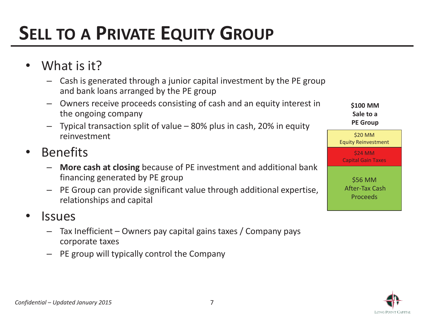# **SELL TO A PRIVATE EQUITY GROUP**

- •What is it?
	- Cash is generated through a junior capital investment by the PE group and bank loans arranged by the PE group
	- – Owners receive proceeds consisting of cash and an equity interest in the ongoing company
	- – Typical transaction split of value – 80% plus in cash, 20% in equity reinvestment
- $\bullet$  Benefits
	- – **More cash at closing** because of PE investment and additional bank financing generated by PE group
	- – PE Group can provide significant value through additional expertise, relationships and capital
- •**Issues** 
	- – Tax Inefficient – Owners pay capital gains taxes / Company pays corporate taxes
	- PE group will typically control the Company

| \$100 MM<br>Sale to a<br><b>PE Group</b>     |
|----------------------------------------------|
| \$20 MM<br><b>Equity Reinvestment</b>        |
| \$24 MM<br><b>Capital Gain Taxes</b>         |
| \$56 MM<br><b>After-Tax Cash</b><br>Proceeds |

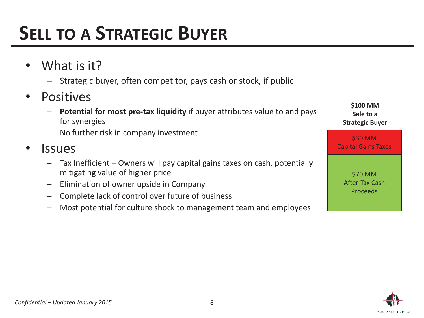## **SELL TO A STRATEGIC BUYER**

- •What is it?
	- –Strategic buyer, often competitor, pays cash or stock, if public
- $\bullet$  Positives
	- – **Potential for most pre-tax liquidity** if buyer attributes value to and pays for synergies
	- No further risk in company investment
- •**Issues** 
	- – Tax Inefficient – Owners will pay capital gains taxes on cash, potentially mitigating value of higher price
	- –Elimination of owner upside in Company
	- –Complete lack of control over future of business
	- –Most potential for culture shock to management team and employees

\$30 MM Capital Gains Taxes \$70 MM After-Tax Cash Proceeds**\$100 MM Sale to a Strategic Buyer** 

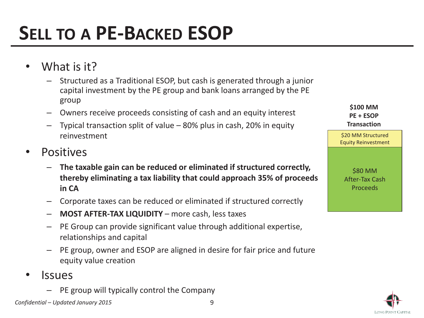# **SELL TO A PE-BACKED ESOP**

- •What is it?
	- – Structured as a Traditional ESOP, but cash is generated through a junior capital investment by the PE group and bank loans arranged by the PE group
	- –Owners receive proceeds consisting of cash and an equity interest
	- – Typical transaction split of value – 80% plus in cash, 20% in equity reinvestment
- •**Positives** 
	- – **The taxable gain can be reduced or eliminated if structured correctly, thereby eliminating a tax liability that could approach 35% of proceeds in CA**
	- –Corporate taxes can be reduced or eliminated if structured correctly
	- –**MOST AFTER-TAX LIQUIDITY – more cash, less taxes**
	- – PE Group can provide significant value through additional expertise, relationships and capital
	- – PE group, owner and ESOP are aligned in desire for fair price and future equity value creation
- • Issues
	- –PE group will typically control the Company



**\$100 MM PE + ESOP Transaction** 

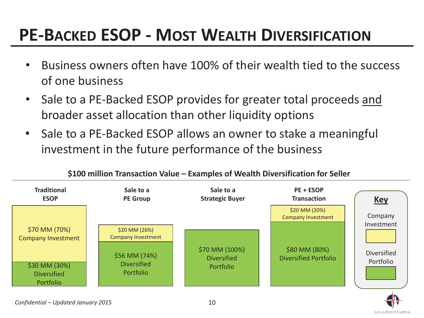### **PE-BACKED ESOP - MOST WEALTH DIVERSIFICATION**

- • Business owners often have 100% of their wealth tied to the success of one business
- Sale to a PE-Backed ESOP provides for greater total proceeds and broader asset allocation than other liquidity options
- Sale to a PE-Backed ESOP allows an owner to stake a meaningful investment in the future performance of the business



**\$100 million Transaction Value – Examples of Wealth Diversification for Seller** 

LONG POINT CAPITAL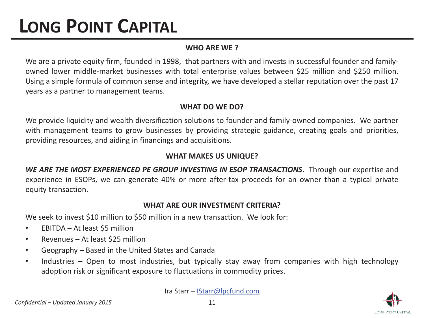## **LONG POINT CAPITAL**

### **WHO ARE WE ?**

We are a private equity firm, founded in 1998, that partners with and invests in successful founder and familyowned lower middle-market businesses with total enterprise values between \$25 million and \$250 million. Using a simple formula of common sense and integrity, we have developed a stellar reputation over the past 17 years as a partner to management teams.

### **WHAT DO WE DO?**

We provide liquidity and wealth diversification solutions to founder and family-owned companies. We partner with management teams to grow businesses by providing strategic guidance, creating goals and priorities, providing resources, and aiding in financings and acquisitions.

### **WHAT MAKES US UNIQUE?**

*WE ARE THE MOST EXPERIENCED PE GROUP INVESTING IN ESOP TRANSACTIONS***.** Through our expertise and experience in ESOPs, we can generate 40% or more after-tax proceeds for an owner than a typical private equity transaction.

#### **WHAT ARE OUR INVESTMENT CRITERIA?**

We seek to invest \$10 million to \$50 million in a new transaction. We look for:

- •EBITDA – At least \$5 million
- •Revenues – At least \$25 million
- •Geography – Based in the United States and Canada
- • Industries – Open to most industries, but typically stay away from companies with high technology adoption risk or significant exposure to fluctuations in commodity prices.

Ira Starr – IStarr@lpcfund.com